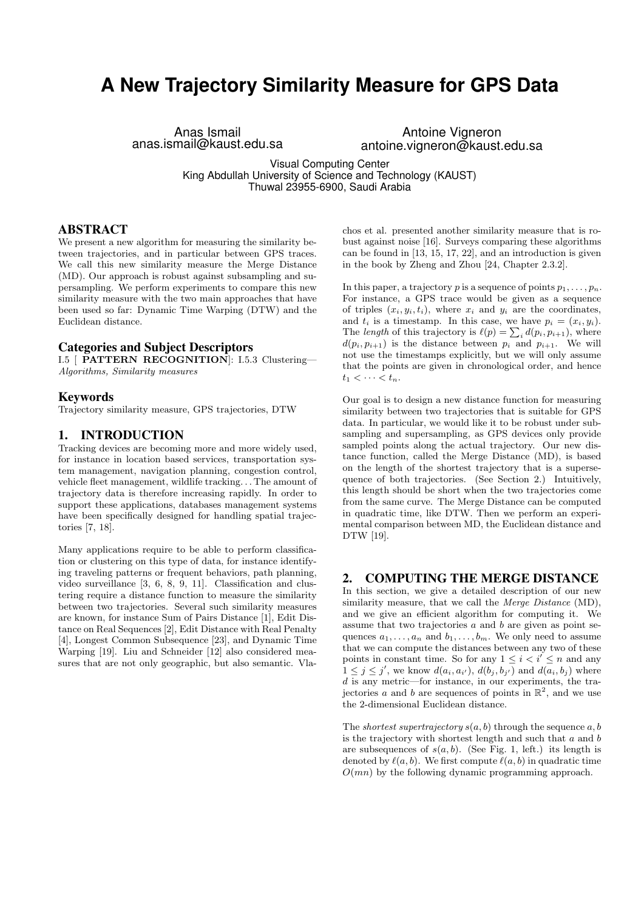# **A New Trajectory Similarity Measure for GPS Data**

Anas Ismail anas.ismail@kaust.edu.sa

Antoine Vigneron antoine.vigneron@kaust.edu.sa

Visual Computing Center King Abdullah University of Science and Technology (KAUST) Thuwal 23955-6900, Saudi Arabia

### ABSTRACT

We present a new algorithm for measuring the similarity between trajectories, and in particular between GPS traces. We call this new similarity measure the Merge Distance (MD). Our approach is robust against subsampling and supersampling. We perform experiments to compare this new similarity measure with the two main approaches that have been used so far: Dynamic Time Warping (DTW) and the Euclidean distance.

## Categories and Subject Descriptors

I.5 [ PATTERN RECOGNITION]: I.5.3 Clustering— Algorithms, Similarity measures

### Keywords

Trajectory similarity measure, GPS trajectories, DTW

## 1. INTRODUCTION

Tracking devices are becoming more and more widely used, for instance in location based services, transportation system management, navigation planning, congestion control, vehicle fleet management, wildlife tracking. . . The amount of trajectory data is therefore increasing rapidly. In order to support these applications, databases management systems have been specifically designed for handling spatial trajectories [7, 18].

Many applications require to be able to perform classification or clustering on this type of data, for instance identifying traveling patterns or frequent behaviors, path planning, video surveillance [3, 6, 8, 9, 11]. Classification and clustering require a distance function to measure the similarity between two trajectories. Several such similarity measures are known, for instance Sum of Pairs Distance [1], Edit Distance on Real Sequences [2], Edit Distance with Real Penalty [4], Longest Common Subsequence [23], and Dynamic Time Warping [19]. Liu and Schneider [12] also considered measures that are not only geographic, but also semantic. Vla-

chos et al. presented another similarity measure that is robust against noise [16]. Surveys comparing these algorithms can be found in [13, 15, 17, 22], and an introduction is given in the book by Zheng and Zhou [24, Chapter 2.3.2].

In this paper, a trajectory p is a sequence of points  $p_1, \ldots, p_n$ . For instance, a GPS trace would be given as a sequence of triples  $(x_i, y_i, t_i)$ , where  $x_i$  and  $y_i$  are the coordinates, and  $t_i$  is a timestamp. In this case, we have  $p_i = (x_i, y_i)$ . The length of this trajectory is  $\ell(p) = \sum_i d(p_i, p_{i+1})$ , where  $d(p_i, p_{i+1})$  is the distance between  $p_i$  and  $p_{i+1}$ . We will not use the timestamps explicitly, but we will only assume that the points are given in chronological order, and hence  $t_1 < \cdots < t_n$ .

Our goal is to design a new distance function for measuring similarity between two trajectories that is suitable for GPS data. In particular, we would like it to be robust under subsampling and supersampling, as GPS devices only provide sampled points along the actual trajectory. Our new distance function, called the Merge Distance (MD), is based on the length of the shortest trajectory that is a supersequence of both trajectories. (See Section 2.) Intuitively, this length should be short when the two trajectories come from the same curve. The Merge Distance can be computed in quadratic time, like DTW. Then we perform an experimental comparison between MD, the Euclidean distance and DTW [19].

## 2. COMPUTING THE MERGE DISTANCE

In this section, we give a detailed description of our new similarity measure, that we call the *Merge Distance* (MD), and we give an efficient algorithm for computing it. We assume that two trajectories  $a$  and  $b$  are given as point sequences  $a_1, \ldots, a_n$  and  $b_1, \ldots, b_m$ . We only need to assume that we can compute the distances between any two of these points in constant time. So for any  $1 \leq i \leq i' \leq n$  and any  $1 \leq j \leq j'$ , we know  $d(a_i, a_{i'})$ ,  $d(b_j, b_{j'})$  and  $d(a_i, b_j)$  where d is any metric—for instance, in our experiments, the trajectories a and b are sequences of points in  $\mathbb{R}^2$ , and we use the 2-dimensional Euclidean distance.

The shortest supertrajectory  $s(a, b)$  through the sequence  $a, b$ is the trajectory with shortest length and such that  $a$  and  $b$ are subsequences of  $s(a, b)$ . (See Fig. 1, left.) its length is denoted by  $\ell(a, b)$ . We first compute  $\ell(a, b)$  in quadratic time  $O(mn)$  by the following dynamic programming approach.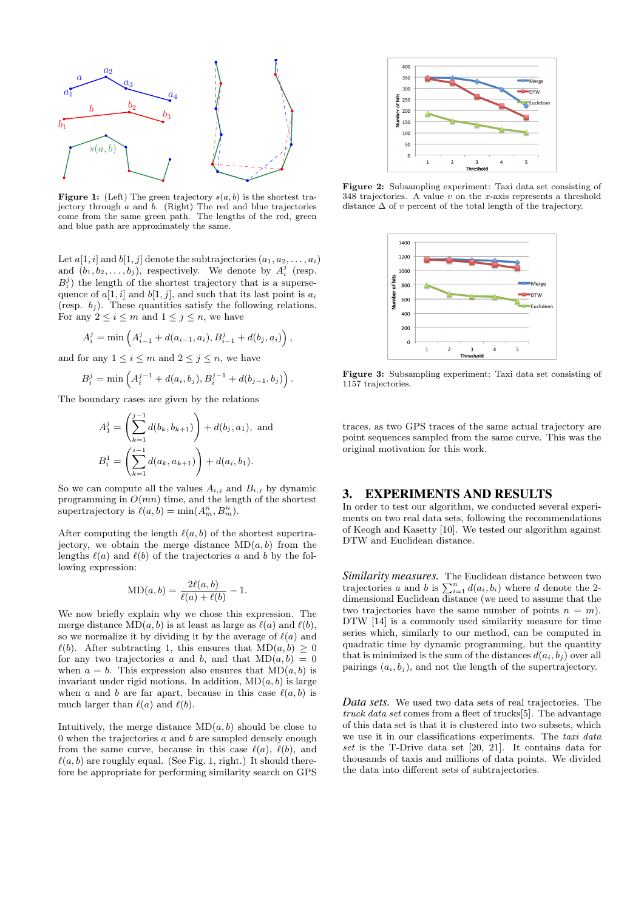

**Figure 1:** (Left) The green trajectory  $s(a, b)$  is the shortest trajectory through a and b. (Right) The red and blue trajectories come from the same green path. The lengths of the red, green and blue path are approximately the same.

Let  $a[1, i]$  and  $b[1, j]$  denote the subtrajectories  $(a_1, a_2, \ldots, a_i)$ and  $(b_1, b_2, \ldots, b_j)$ , respectively. We denote by  $A_i^j$  (resp.  $B_i^j$ ) the length of the shortest trajectory that is a supersequence of  $a[1, i]$  and  $b[1, j]$ , and such that its last point is  $a_i$ (resp.  $b_i$ ). These quantities satisfy the following relations. For any  $2 \leq i \leq m$  and  $1 \leq j \leq n$ , we have

$$
A_i^j = \min\left(A_{i-1}^j + d(a_{i-1}, a_i), B_{i-1}^j + d(b_j, a_i)\right),\,
$$

and for any  $1 \leq i \leq m$  and  $2 \leq j \leq n$ , we have

$$
B_i^j = \min\left(A_i^{j-1} + d(a_i, b_j), B_i^{j-1} + d(b_{j-1}, b_j)\right).
$$

The boundary cases are given by the relations

$$
A_1^j = \left(\sum_{k=1}^{j-1} d(b_k, b_{k+1})\right) + d(b_j, a_1), \text{ and}
$$
  

$$
B_i^1 = \left(\sum_{k=1}^{i-1} d(a_k, a_{k+1})\right) + d(a_i, b_1).
$$

So we can compute all the values  $A_{i,j}$  and  $B_{i,j}$  by dynamic programming in  $O(mn)$  time, and the length of the shortest supertrajectory is  $\ell(a, b) = \min(A_m^n, B_m^n)$ .

After computing the length  $\ell(a, b)$  of the shortest supertrajectory, we obtain the merge distance  $MD(a, b)$  from the lengths  $\ell(a)$  and  $\ell(b)$  of the trajectories a and b by the following expression:

$$
MD(a, b) = \frac{2\ell(a, b)}{\ell(a) + \ell(b)} - 1.
$$

We now briefly explain why we chose this expression. The merge distance  $MD(a, b)$  is at least as large as  $\ell(a)$  and  $\ell(b)$ , so we normalize it by dividing it by the average of  $\ell(a)$  and  $\ell(b)$ . After subtracting 1, this ensures that  $MD(a, b) \geq 0$ for any two trajectories a and b, and that  $MD(a, b) = 0$ when  $a = b$ . This expression also ensures that  $MD(a, b)$  is invariant under rigid motions. In addition,  $MD(a, b)$  is large when a and b are far apart, because in this case  $\ell(a, b)$  is much larger than  $\ell(a)$  and  $\ell(b)$ .

Intuitively, the merge distance  $MD(a, b)$  should be close to  $0$  when the trajectories  $a$  and  $b$  are sampled densely enough from the same curve, because in this case  $\ell(a)$ ,  $\ell(b)$ , and  $\ell(a, b)$  are roughly equal. (See Fig. 1, right.) It should therefore be appropriate for performing similarity search on GPS



Figure 2: Subsampling experiment: Taxi data set consisting of  $348$  trajectories. A value v on the x-axis represents a threshold distance  $\Delta$  of v percent of the total length of the trajectory.



Figure 3: Subsampling experiment: Taxi data set consisting of 1157 trajectories.

traces, as two GPS traces of the same actual trajectory are point sequences sampled from the same curve. This was the original motivation for this work.

## 3. EXPERIMENTS AND RESULTS

In order to test our algorithm, we conducted several experiments on two real data sets, following the recommendations of Keogh and Kasetty [10]. We tested our algorithm against DTW and Euclidean distance.

*Similarity measures.* The Euclidean distance between two trajectories a and b is  $\sum_{i=1}^{n} d(a_i, b_i)$  where d denote the 2dimensional Euclidean distance (we need to assume that the two trajectories have the same number of points  $n = m$ ). DTW [14] is a commonly used similarity measure for time series which, similarly to our method, can be computed in quadratic time by dynamic programming, but the quantity that is minimized is the sum of the distances  $d(a_i, b_i)$  over all pairings  $(a_i, b_j)$ , and not the length of the supertrajectory.

*Data sets.* We used two data sets of real trajectories. The truck data set comes from a fleet of trucks[5]. The advantage of this data set is that it is clustered into two subsets, which we use it in our classifications experiments. The taxi data set is the T-Drive data set [20, 21]. It contains data for thousands of taxis and millions of data points. We divided the data into different sets of subtrajectories.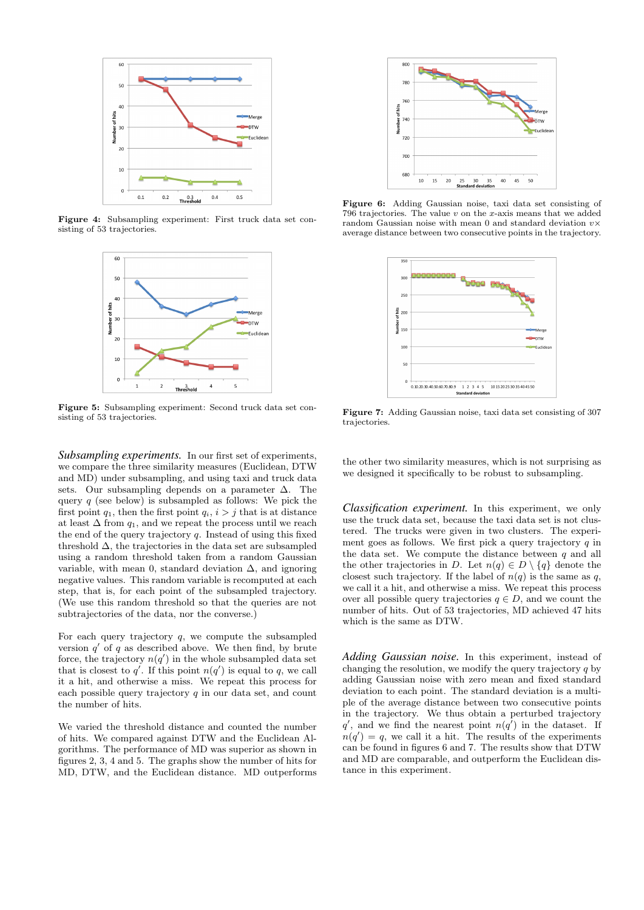

Figure 4: Subsampling experiment: First truck data set consisting of 53 trajectories.



Figure 5: Subsampling experiment: Second truck data set consisting of 53 trajectories.

*Subsampling experiments.* In our first set of experiments, we compare the three similarity measures (Euclidean, DTW and MD) under subsampling, and using taxi and truck data sets. Our subsampling depends on a parameter ∆. The query  $q$  (see below) is subsampled as follows: We pick the first point  $q_1$ , then the first point  $q_i$ ,  $i > j$  that is at distance at least  $\Delta$  from  $q_1$ , and we repeat the process until we reach the end of the query trajectory  $q$ . Instead of using this fixed threshold  $\Delta$ , the trajectories in the data set are subsampled using a random threshold taken from a random Gaussian variable, with mean 0, standard deviation  $\Delta$ , and ignoring negative values. This random variable is recomputed at each step, that is, for each point of the subsampled trajectory. (We use this random threshold so that the queries are not subtrajectories of the data, nor the converse.)

For each query trajectory  $q$ , we compute the subsampled version  $q'$  of q as described above. We then find, by brute force, the trajectory  $n(q')$  in the whole subsampled data set that is closest to  $q'$ . If this point  $n(q')$  is equal to q, we call it a hit, and otherwise a miss. We repeat this process for each possible query trajectory  $q$  in our data set, and count the number of hits.

We varied the threshold distance and counted the number of hits. We compared against DTW and the Euclidean Algorithms. The performance of MD was superior as shown in figures 2, 3, 4 and 5. The graphs show the number of hits for MD, DTW, and the Euclidean distance. MD outperforms



Figure 6: Adding Gaussian noise, taxi data set consisting of 796 trajectories. The value v on the x-axis means that we added random Gaussian noise with mean 0 and standard deviation  $v \times$ average distance between two consecutive points in the trajectory.



Figure 7: Adding Gaussian noise, taxi data set consisting of 307 trajectories.

the other two similarity measures, which is not surprising as we designed it specifically to be robust to subsampling.

*Classification experiment.* In this experiment, we only use the truck data set, because the taxi data set is not clustered. The trucks were given in two clusters. The experiment goes as follows. We first pick a query trajectory  $q$  in the data set. We compute the distance between  $q$  and all the other trajectories in D. Let  $n(q) \in D \setminus \{q\}$  denote the closest such trajectory. If the label of  $n(a)$  is the same as q. we call it a hit, and otherwise a miss. We repeat this process over all possible query trajectories  $q \in D$ , and we count the number of hits. Out of 53 trajectories, MD achieved 47 hits which is the same as DTW.

*Adding Gaussian noise.* In this experiment, instead of changing the resolution, we modify the query trajectory  $q$  by adding Gaussian noise with zero mean and fixed standard deviation to each point. The standard deviation is a multiple of the average distance between two consecutive points in the trajectory. We thus obtain a perturbed trajectory  $q'$ , and we find the nearest point  $n(q')$  in the dataset. If  $n(q') = q$ , we call it a hit. The results of the experiments can be found in figures 6 and 7. The results show that DTW and MD are comparable, and outperform the Euclidean distance in this experiment.